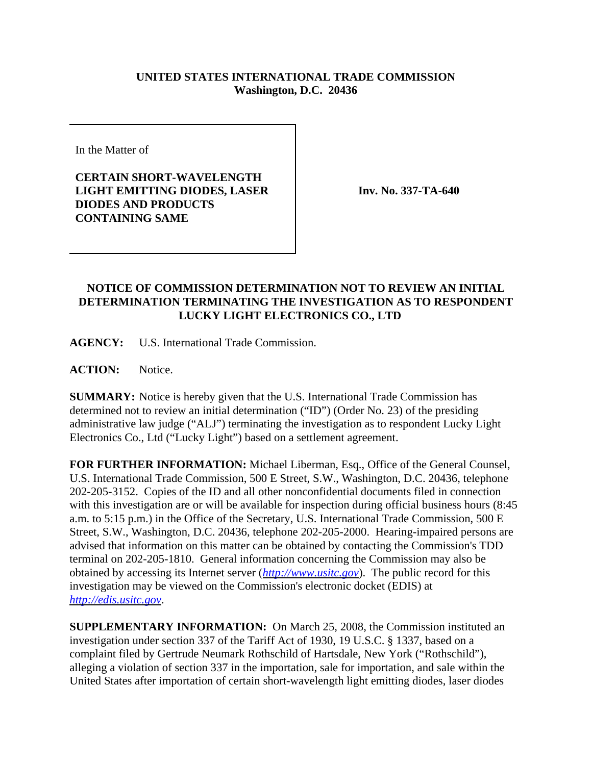## **UNITED STATES INTERNATIONAL TRADE COMMISSION Washington, D.C. 20436**

In the Matter of

**CERTAIN SHORT-WAVELENGTH LIGHT EMITTING DIODES, LASER DIODES AND PRODUCTS CONTAINING SAME**

**Inv. No. 337-TA-640**

## **NOTICE OF COMMISSION DETERMINATION NOT TO REVIEW AN INITIAL DETERMINATION TERMINATING THE INVESTIGATION AS TO RESPONDENT LUCKY LIGHT ELECTRONICS CO., LTD**

**AGENCY:** U.S. International Trade Commission.

**ACTION:** Notice.

**SUMMARY:** Notice is hereby given that the U.S. International Trade Commission has determined not to review an initial determination ("ID") (Order No. 23) of the presiding administrative law judge ("ALJ") terminating the investigation as to respondent Lucky Light Electronics Co., Ltd ("Lucky Light") based on a settlement agreement.

**FOR FURTHER INFORMATION:** Michael Liberman, Esq., Office of the General Counsel, U.S. International Trade Commission, 500 E Street, S.W., Washington, D.C. 20436, telephone 202-205-3152. Copies of the ID and all other nonconfidential documents filed in connection with this investigation are or will be available for inspection during official business hours (8:45 a.m. to 5:15 p.m.) in the Office of the Secretary, U.S. International Trade Commission, 500 E Street, S.W., Washington, D.C. 20436, telephone 202-205-2000. Hearing-impaired persons are advised that information on this matter can be obtained by contacting the Commission's TDD terminal on 202-205-1810. General information concerning the Commission may also be obtained by accessing its Internet server (*http://www.usitc.gov*). The public record for this investigation may be viewed on the Commission's electronic docket (EDIS) at *http://edis.usitc.gov*.

**SUPPLEMENTARY INFORMATION:** On March 25, 2008, the Commission instituted an investigation under section 337 of the Tariff Act of 1930, 19 U.S.C. § 1337, based on a complaint filed by Gertrude Neumark Rothschild of Hartsdale, New York ("Rothschild"), alleging a violation of section 337 in the importation, sale for importation, and sale within the United States after importation of certain short-wavelength light emitting diodes, laser diodes